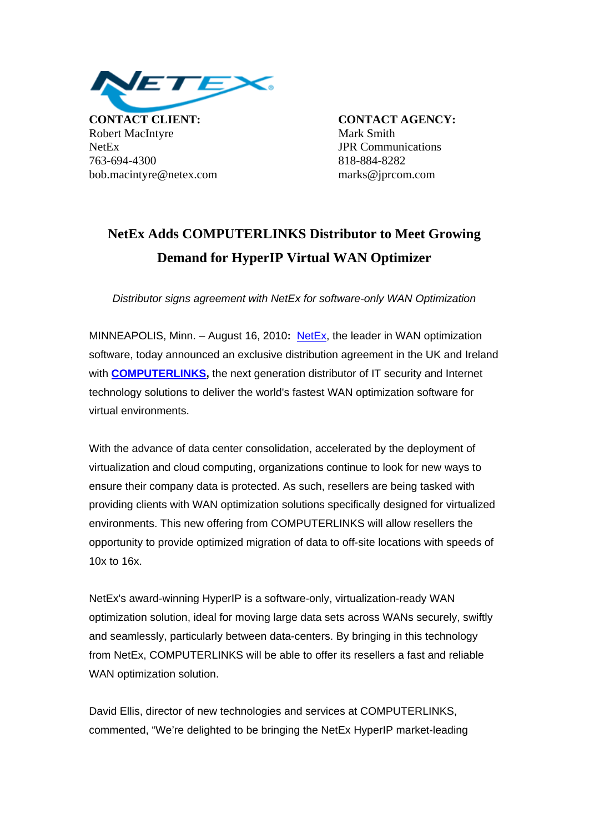

**CONTACT CLIENT: CONTACT AGENCY:** Robert MacIntyre Mark Smith NetEx JPR Communications 763-694-4300 818-884-8282 bob.macintyre@netex.com marks@jprcom.com

## **NetEx Adds COMPUTERLINKS Distributor to Meet Growing Demand for HyperIP Virtual WAN Optimizer**

*Distributor signs agreement with NetEx for software-only WAN Optimization* 

MINNEAPOLIS, Minn. – August 16, 2010**:** [NetEx](http://www.netex.com/), the leader in WAN optimization software, today announced an exclusive distribution agreement in the UK and Ireland with **[COMPUTERLINKS,](http://www.computerlinks.co.uk/)** the next generation distributor of IT security and Internet technology solutions to deliver the world's fastest WAN optimization software for virtual environments.

With the advance of data center consolidation, accelerated by the deployment of virtualization and cloud computing, organizations continue to look for new ways to ensure their company data is protected. As such, resellers are being tasked with providing clients with WAN optimization solutions specifically designed for virtualized environments. This new offering from COMPUTERLINKS will allow resellers the opportunity to provide optimized migration of data to off-site locations with speeds of 10x to 16x.

NetEx's award-winning HyperIP is a software-only, virtualization-ready WAN optimization solution, ideal for moving large data sets across WANs securely, swiftly and seamlessly, particularly between data-centers. By bringing in this technology from NetEx, COMPUTERLINKS will be able to offer its resellers a fast and reliable WAN optimization solution.

David Ellis, director of new technologies and services at COMPUTERLINKS, commented, "We're delighted to be bringing the NetEx HyperIP market-leading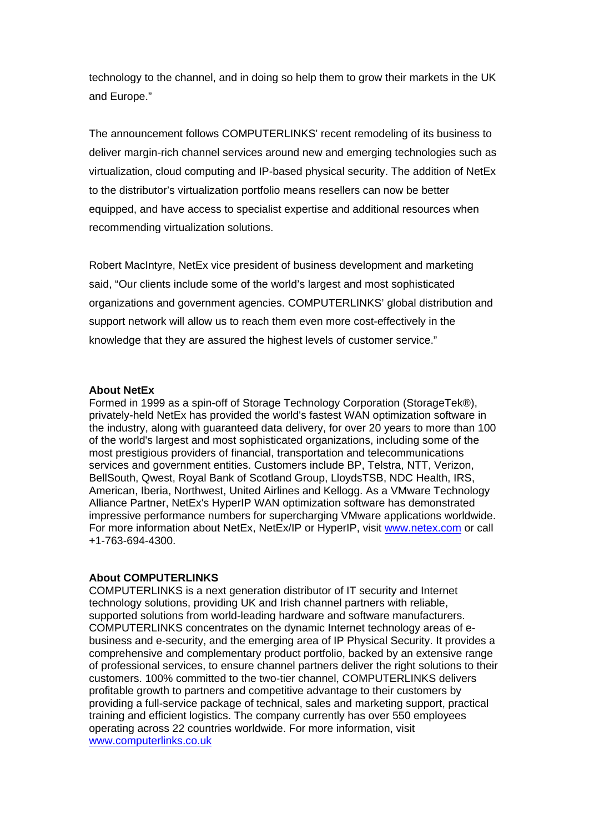technology to the channel, and in doing so help them to grow their markets in the UK and Europe."

The announcement follows COMPUTERLINKS' recent remodeling of its business to deliver margin-rich channel services around new and emerging technologies such as virtualization, cloud computing and IP-based physical security. The addition of NetEx to the distributor's virtualization portfolio means resellers can now be better equipped, and have access to specialist expertise and additional resources when recommending virtualization solutions.

Robert MacIntyre, NetEx vice president of business development and marketing said, "Our clients include some of the world's largest and most sophisticated organizations and government agencies. COMPUTERLINKS' global distribution and support network will allow us to reach them even more cost-effectively in the knowledge that they are assured the highest levels of customer service."

## **About NetEx**

Formed in 1999 as a spin-off of Storage Technology Corporation (StorageTek®), privately-held NetEx has provided the world's fastest WAN optimization software in the industry, along with guaranteed data delivery, for over 20 years to more than 100 of the world's largest and most sophisticated organizations, including some of the most prestigious providers of financial, transportation and telecommunications services and government entities. Customers include BP, Telstra, NTT, Verizon, BellSouth, Qwest, Royal Bank of Scotland Group, LloydsTSB, NDC Health, IRS, American, Iberia, Northwest, United Airlines and Kellogg. As a VMware Technology Alliance Partner, NetEx's HyperIP WAN optimization software has demonstrated impressive performance numbers for supercharging VMware applications worldwide. For more information about NetEx, NetEx/IP or HyperIP, visit [www.netex.com](http://www.netex.com/) or call +1-763-694-4300.

## **About COMPUTERLINKS**

COMPUTERLINKS is a next generation distributor of IT security and Internet technology solutions, providing UK and Irish channel partners with reliable, supported solutions from world-leading hardware and software manufacturers. COMPUTERLINKS concentrates on the dynamic Internet technology areas of ebusiness and e-security, and the emerging area of IP Physical Security. It provides a comprehensive and complementary product portfolio, backed by an extensive range of professional services, to ensure channel partners deliver the right solutions to their customers. 100% committed to the two-tier channel, COMPUTERLINKS delivers profitable growth to partners and competitive advantage to their customers by providing a full-service package of technical, sales and marketing support, practical training and efficient logistics. The company currently has over 550 employees operating across 22 countries worldwide. For more information, visit [www.computerlinks.co.uk](http://www.computerlinks.co.uk/)